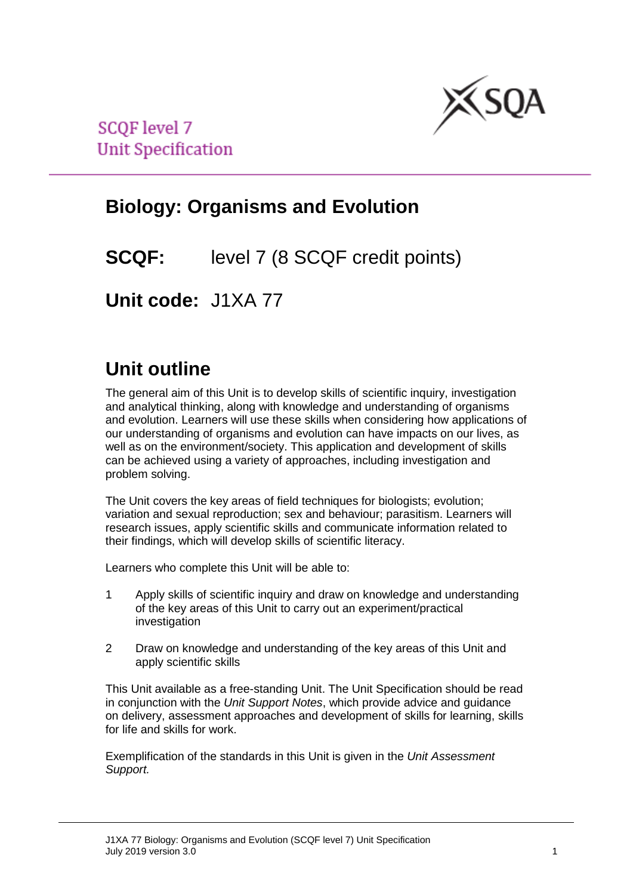

**SCQF** level 7 **Unit Specification** 

# **Biology: Organisms and Evolution**

**SCQF:** level 7 (8 SCQF credit points)

**Unit code:** J1XA 77

# **Unit outline**

The general aim of this Unit is to develop skills of scientific inquiry, investigation and analytical thinking, along with knowledge and understanding of organisms and evolution. Learners will use these skills when considering how applications of our understanding of organisms and evolution can have impacts on our lives, as well as on the environment/society. This application and development of skills can be achieved using a variety of approaches, including investigation and problem solving.

The Unit covers the key areas of field techniques for biologists; evolution; variation and sexual reproduction; sex and behaviour; parasitism. Learners will research issues, apply scientific skills and communicate information related to their findings, which will develop skills of scientific literacy.

Learners who complete this Unit will be able to:

- 1 Apply skills of scientific inquiry and draw on knowledge and understanding of the key areas of this Unit to carry out an experiment/practical investigation
- 2 Draw on knowledge and understanding of the key areas of this Unit and apply scientific skills

This Unit available as a free-standing Unit. The Unit Specification should be read in conjunction with the *Unit Support Notes*, which provide advice and guidance on delivery, assessment approaches and development of skills for learning, skills for life and skills for work.

Exemplification of the standards in this Unit is given in the *Unit Assessment Support.*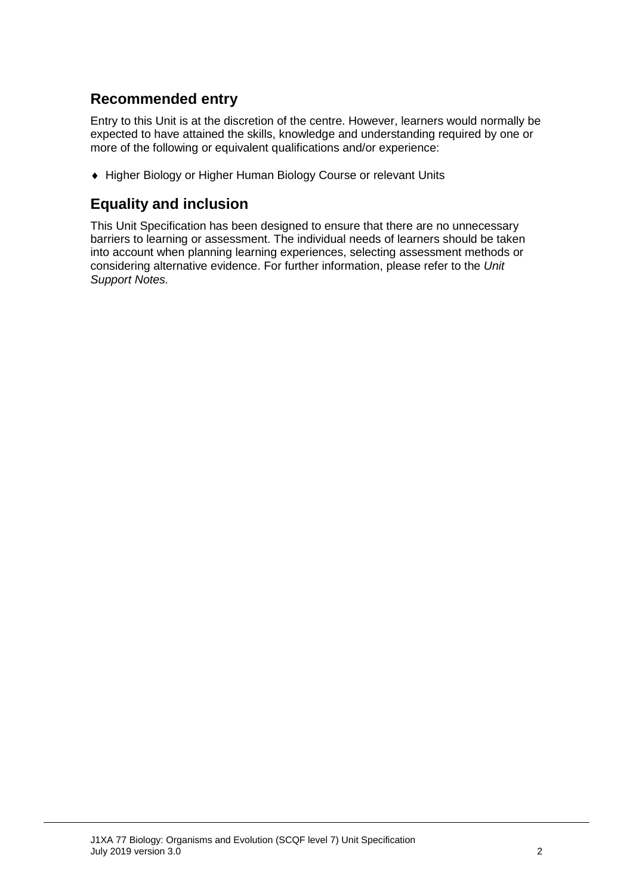## **Recommended entry**

Entry to this Unit is at the discretion of the centre. However, learners would normally be expected to have attained the skills, knowledge and understanding required by one or more of the following or equivalent qualifications and/or experience:

♦ Higher Biology or Higher Human Biology Course or relevant Units

## **Equality and inclusion**

This Unit Specification has been designed to ensure that there are no unnecessary barriers to learning or assessment. The individual needs of learners should be taken into account when planning learning experiences, selecting assessment methods or considering alternative evidence. For further information, please refer to the *Unit Support Notes.*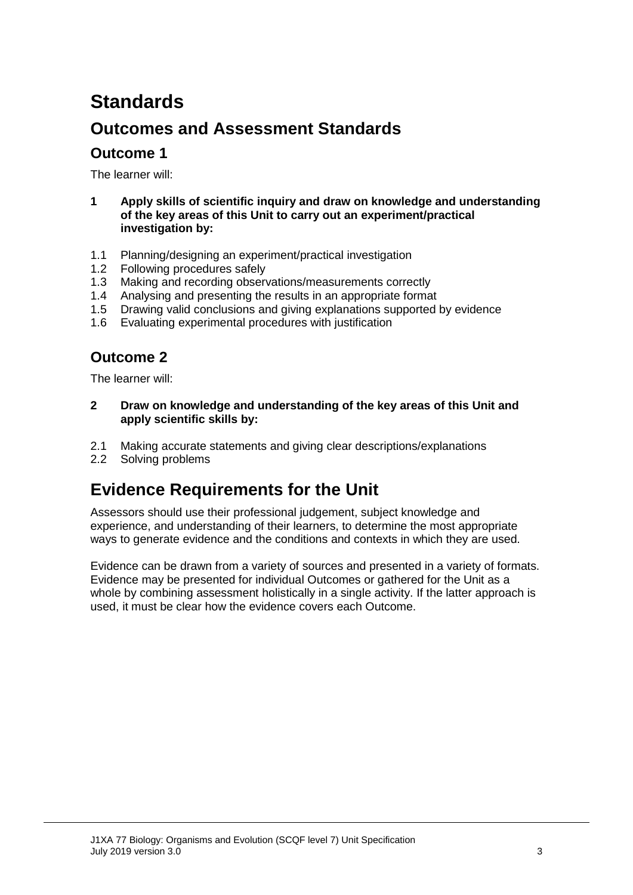# **Standards**

## **Outcomes and Assessment Standards**

### **Outcome 1**

The learner will:

- **1 Apply skills of scientific inquiry and draw on knowledge and understanding of the key areas of this Unit to carry out an experiment/practical investigation by:**
- 1.1 Planning/designing an experiment/practical investigation
- 1.2 Following procedures safely
- 1.3 Making and recording observations/measurements correctly
- 1.4 Analysing and presenting the results in an appropriate format
- 1.5 Drawing valid conclusions and giving explanations supported by evidence
- 1.6 Evaluating experimental procedures with justification

## **Outcome 2**

The learner will:

- **2 Draw on knowledge and understanding of the key areas of this Unit and apply scientific skills by:**
- 2.1 Making accurate statements and giving clear descriptions/explanations
- 2.2 Solving problems

## **Evidence Requirements for the Unit**

Assessors should use their professional judgement, subject knowledge and experience, and understanding of their learners, to determine the most appropriate ways to generate evidence and the conditions and contexts in which they are used.

Evidence can be drawn from a variety of sources and presented in a variety of formats. Evidence may be presented for individual Outcomes or gathered for the Unit as a whole by combining assessment holistically in a single activity. If the latter approach is used, it must be clear how the evidence covers each Outcome.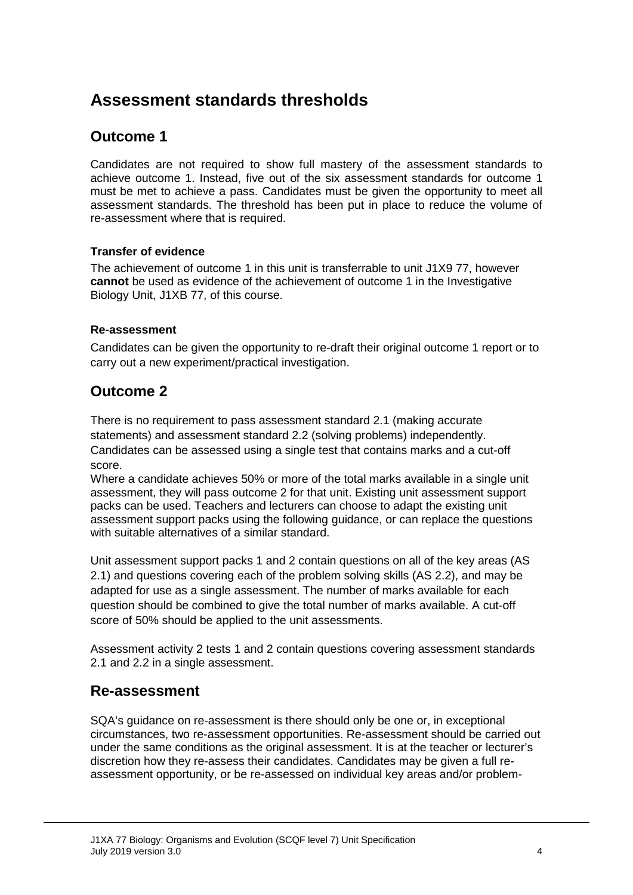## **Assessment standards thresholds**

## **Outcome 1**

Candidates are not required to show full mastery of the assessment standards to achieve outcome 1. Instead, five out of the six assessment standards for outcome 1 must be met to achieve a pass. Candidates must be given the opportunity to meet all assessment standards. The threshold has been put in place to reduce the volume of re-assessment where that is required.

#### **Transfer of evidence**

The achievement of outcome 1 in this unit is transferrable to unit J1X9 77, however **cannot** be used as evidence of the achievement of outcome 1 in the Investigative Biology Unit, J1XB 77, of this course.

#### **Re-assessment**

Candidates can be given the opportunity to re-draft their original outcome 1 report or to carry out a new experiment/practical investigation.

## **Outcome 2**

There is no requirement to pass assessment standard 2.1 (making accurate statements) and assessment standard 2.2 (solving problems) independently. Candidates can be assessed using a single test that contains marks and a cut-off score.

Where a candidate achieves 50% or more of the total marks available in a single unit assessment, they will pass outcome 2 for that unit. Existing unit assessment support packs can be used. Teachers and lecturers can choose to adapt the existing unit assessment support packs using the following guidance, or can replace the questions with suitable alternatives of a similar standard.

Unit assessment support packs 1 and 2 contain questions on all of the key areas (AS 2.1) and questions covering each of the problem solving skills (AS 2.2), and may be adapted for use as a single assessment. The number of marks available for each question should be combined to give the total number of marks available. A cut-off score of 50% should be applied to the unit assessments.

Assessment activity 2 tests 1 and 2 contain questions covering assessment standards 2.1 and 2.2 in a single assessment.

### **Re-assessment**

SQA's guidance on re-assessment is there should only be one or, in exceptional circumstances, two re-assessment opportunities. Re-assessment should be carried out under the same conditions as the original assessment. It is at the teacher or lecturer's discretion how they re-assess their candidates. Candidates may be given a full reassessment opportunity, or be re-assessed on individual key areas and/or problem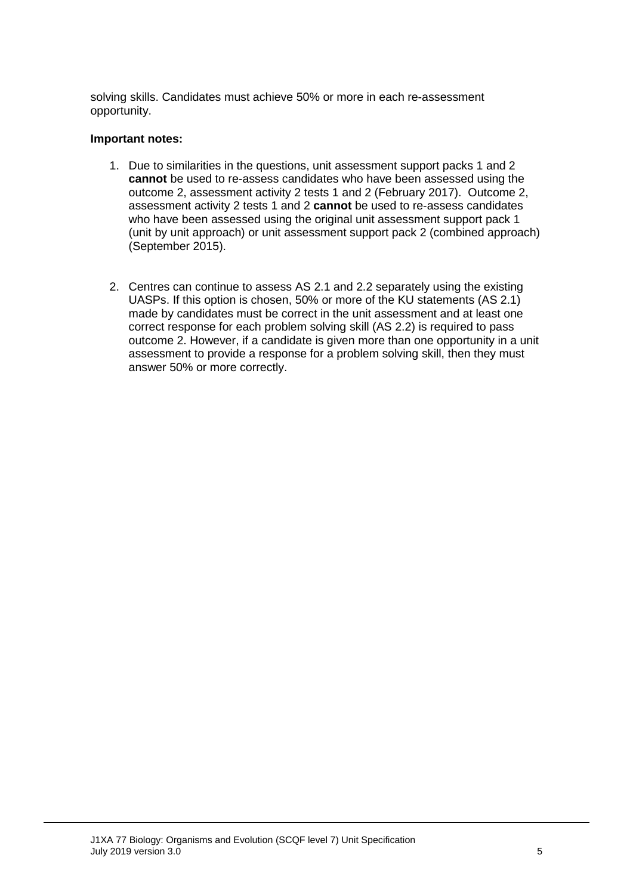solving skills. Candidates must achieve 50% or more in each re-assessment opportunity.

#### **Important notes:**

- 1. Due to similarities in the questions, unit assessment support packs 1 and 2 **cannot** be used to re-assess candidates who have been assessed using the outcome 2, assessment activity 2 tests 1 and 2 (February 2017). Outcome 2, assessment activity 2 tests 1 and 2 **cannot** be used to re-assess candidates who have been assessed using the original unit assessment support pack 1 (unit by unit approach) or unit assessment support pack 2 (combined approach) (September 2015).
- 2. Centres can continue to assess AS 2.1 and 2.2 separately using the existing UASPs. If this option is chosen, 50% or more of the KU statements (AS 2.1) made by candidates must be correct in the unit assessment and at least one correct response for each problem solving skill (AS 2.2) is required to pass outcome 2. However, if a candidate is given more than one opportunity in a unit assessment to provide a response for a problem solving skill, then they must answer 50% or more correctly.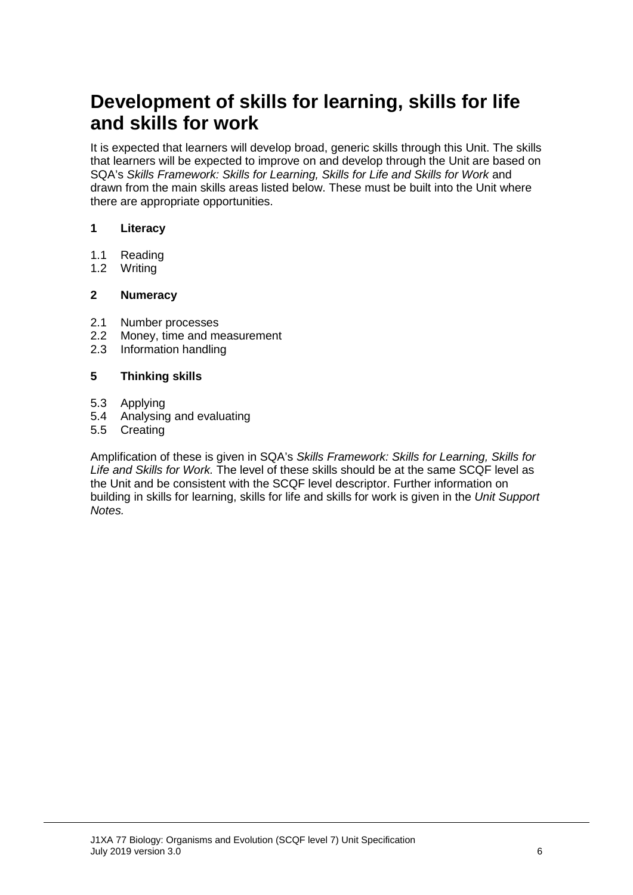# **Development of skills for learning, skills for life and skills for work**

It is expected that learners will develop broad, generic skills through this Unit. The skills that learners will be expected to improve on and develop through the Unit are based on SQA's *Skills Framework: Skills for Learning, Skills for Life and Skills for Work* and drawn from the main skills areas listed below. These must be built into the Unit where there are appropriate opportunities.

#### **1 Literacy**

- 1.1 Reading
- 1.2 Writing

#### **2 Numeracy**

- 2.1 Number processes<br>2.2 Money, time and me
- 2.2 Money, time and measurement<br>2.3 Information handling
- Information handling

#### **5 Thinking skills**

- 5.3 Applying
- 5.4 Analysing and evaluating
- 5.5 Creating

Amplification of these is given in SQA's *Skills Framework: Skills for Learning, Skills for Life and Skills for Work.* The level of these skills should be at the same SCQF level as the Unit and be consistent with the SCQF level descriptor. Further information on building in skills for learning, skills for life and skills for work is given in the *Unit Support Notes.*